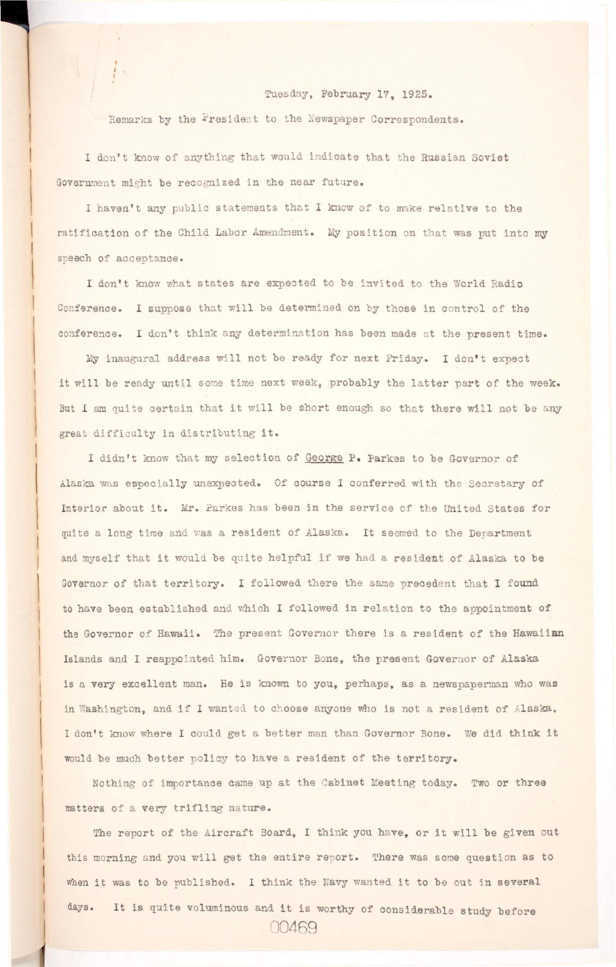*t* 

## **Tuesday, February 17, 1925.**

Remarks by the President to the Newspaper Correspondents.

<sup>I</sup> **don't know of anything that would indicate that the Russian Soviet**  Government might be recognized in the near future.

I haven't any public statements that I know of to make relative to the ratification of the Child Labor Amendment. My position on that was put into my **speech of acceptance.** 

I don't know what states are expected to be invited to the World Radio Conference. I suppose that will be determined on by those in control of the **conference. I don't think any determination has been made at the present time.** 

My inaugural address will not be ready for next Friday. I don't expect it will be ready until some time next week, probably the latter part of the week. But I am quite certain that it will be short enough so that there will not be any **great difficult y i n d i s t r i b u t i n g i t .** 

I didn't know that my selection of George P. Parkes to be Governor of Alaska was especially unexpected. Of course I conferred with the Secretary of Interior about it. Mr. Parkes has been in the service of the United States for **quite a long time and was a resident of Alaska. It seemed to the Department**  and myself that it would be quite helpful if we had a resident of Alaska to be Governor of that territory. I followed there the same precedent that I found to have been established and which I followed in relation to the appointment of the Governor of Hawaii. The present Governor there is a resident of the Hawaiian **Islands and I reappointed him. Governor Bone, the present Governor of Alaska**  is a very excellent man. He is known to you, perhaps, as a newspaperman who was in Washington, and if I wanted to choose anyone who is not a resident of Alaska, I don't know where I could get a better man than Governor Bone. We did think it

would be much better policy to have a resident of the territory.

**Nothing of importance came up at the Cabinet Meeting today. Two or three**  matters of a very trifling nature.

The report of the Aircraft Board, I think you have, or it will be given out this morning and you will get the entire report. There was some question as to when it was to be published. I think the Navy wanted it to be out in several days. It is quite voluminous and it is worthy of considerable study before **00469 »**